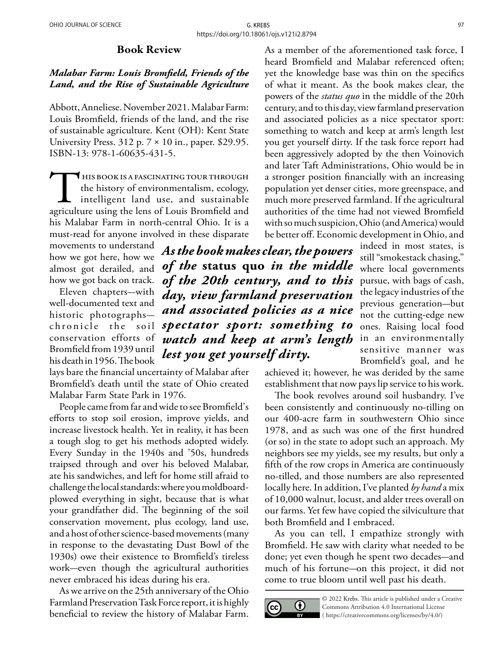## Book Review

## *Malabar Farm: Louis Bromfield, Friends of the Land, and the Rise of Sustainable Agriculture*

Abbott, Anneliese. November 2021. Malabar Farm: Louis Bromfield, friends of the land, and the rise of sustainable agriculture. Kent (OH): Kent State University Press. 312 p. 7 × 10 in., paper. \$29.95. ISBN-13: 978-1-60635-431-5.

THIS BOOK IS A FASCINATING TOUR THROUGH<br>
the history of environmentalism, ecology,<br>
intelligent land use, and sustainable<br>
agriculture using the lens of Louis Bromfield and the history of environmentalism, ecology, intelligent land use, and sustainable his Malabar Farm in north-central Ohio. It is a must-read for anyone involved in these disparate

movements to understand how we got here, how we almost got derailed, and how we got back on track.

Eleven chapters-with well-documented text and historic photographschronicle the soil conservation efforts of Bromfield from 1939 until his death in 1956. The book

lays bare the financial uncertainty of Malabar after Bromfield's death until the state of Ohio created Malabar Farm State Park in 1976.

People came from far and wide to see Bromfield's efforts to stop soil erosion, improve yields, and increase livestock health. Yet in reality, it has been a tough slog to get his methods adopted widely. Every Sunday in the 1940s and '50s, hundreds traipsed through and over his beloved Malabar, ate his sandwiches, and left for home still afraid to challenge the local standards: where you moldboardplowed everything in sight, because that is what your grandfather did. The beginning of the soil conservation movement, plus ecology, land use, and a host of other science-based movements (many in response to the devastating Dust Bowl of the 1930s) owe their existence to Bromfield's tireless work-even though the agricultural authorities never embraced his ideas during his era.

As we arrive on the 25th anniversary of the Ohio Farmland Preservation Task Force report, it is highly beneficial to review the history of Malabar Farm.

As a member of the aforementioned task force, I heard Bromfield and Malabar referenced often; yet the knowledge base was thin on the specifics of what it meant. As the book makes clear, the powers of the *status quo* in the middle of the 20th century, and to this day, view farmland preservation and associated policies as a nice spectator sport: something to watch and keep at arm's length lest you get yourself dirty. If the task force report had been aggressively adopted by the then Voinovich and later Taft Administrations, Ohio would be in a stronger position financially with an increasing population yet denser cities, more greenspace, and much more preserved farmland. If the agricultural authorities of the time had not viewed Bromfield with so much suspicion, Ohio (and America) would be better off. Economic development in Ohio, and

*As the book makes clear, the powers of the* **status quo** *in the middle of the 20th century, and to this day, view farmland preservation and associated policies as a nice spectator sport: something to watch and keep at arm's length lest you get yourself dirty.* 

indeed in most states, is still "smokestack chasing," where local governments pursue, with bags of cash, the legacy industries of the previous generation-but not the cutting-edge new ones. Raising local food in an environmentally sensitive manner was Bromfield's goal, and he

achieved it; however, he was derided by the same establishment that now pays lip service to his work.

The book revolves around soil husbandry. I've been consistently and continuously no-tilling on our 400-acre farm in southwestern Ohio since 1978, and as such was one of the first hundred (or so) in the state to adopt such an approach. My neighbors see my yields, see my results, but only a fifth of the row crops in America are continuously no-tilled, and those numbers are also represented locally here. In addition, I've planted *by hand* a mix of 10,000 walnut, locust, and alder trees overall on our farms. Yet few have copied the silviculture that both Bromfield and I embraced.

As you can tell, I empathize strongly with Bromfield. He saw with clarity what needed to be done; yet even though he spent two decades—and much of his fortune-on this project, it did not come to true bloom until well past his death.



© 2022 Krebs. This article is published under a Creative Commons Attribution 4.0 International License ( [https://creativecommons.org/licenses/by/4.0/\)](https://creativecommons.org/licenses/by/4.0/)